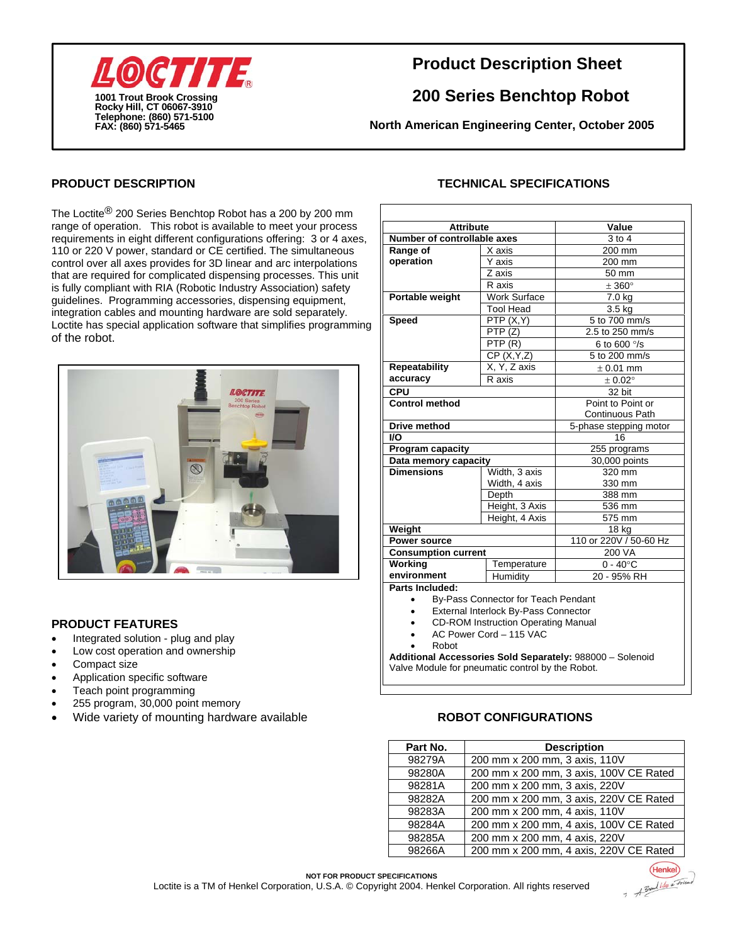

# **200 Series Benchtop Robot**

**North American Engineering Center, October 2005**

## **PRODUCT DESCRIPTION**

The Loctite<sup>®</sup> 200 Series Benchtop Robot has a 200 by 200 mm range of operation. This robot is available to meet your process requirements in eight different configurations offering: 3 or 4 axes, 110 or 220 V power, standard or CE certified. The simultaneous control over all axes provides for 3D linear and arc interpolations that are required for complicated dispensing processes. This unit is fully compliant with RIA (Robotic Industry Association) safety guidelines. Programming accessories, dispensing equipment, integration cables and mounting hardware are sold separately. Loctite has special application software that simplifies programming of the robot.



### **PRODUCT FEATURES**

- Integrated solution plug and play
- Low cost operation and ownership
- Compact size
- Application specific software
- Teach point programming
- 255 program, 30,000 point memory
- Wide variety of mounting hardware available **ROBOT CONFIGURATIONS**

|  | <b>TECHNICAL SPECIFICATIONS</b> |  |
|--|---------------------------------|--|
|--|---------------------------------|--|

| <b>Attribute</b>            |                     | Value                  |
|-----------------------------|---------------------|------------------------|
| Number of controllable axes |                     | $3$ to $4$             |
| Range of                    | X axis              | 200 mm                 |
| operation                   | Y axis              | 200 mm                 |
|                             | Z axis              | 50 mm                  |
|                             | R axis              | $± 360^\circ$          |
| Portable weight             | <b>Work Surface</b> | 7.0 kg                 |
|                             | <b>Tool Head</b>    | $3.5 \text{ kg}$       |
| <b>Speed</b>                | PTP(X,Y)            | 5 to 700 mm/s          |
|                             | PTP(Z)              | 2.5 to 250 mm/s        |
|                             | PTP(R)              | 6 to 600 $\degree$ /s  |
|                             | CP(X,Y,Z)           | 5 to 200 mm/s          |
| Repeatability               | X, Y, Z axis        | $\pm$ 0.01 mm          |
| accuracy                    | R axis              | $\pm 0.02^{\circ}$     |
| <b>CPU</b>                  |                     | 32 bit                 |
| <b>Control method</b>       |                     | Point to Point or      |
|                             |                     | Continuous Path        |
| Drive method                |                     | 5-phase stepping motor |
| <b>VO</b>                   |                     | 16                     |
| <b>Program capacity</b>     |                     | 255 programs           |
| Data memory capacity        |                     | 30,000 points          |
| <b>Dimensions</b>           | Width, 3 axis       | 320 mm                 |
|                             | Width, 4 axis       | 330 mm                 |
|                             | Depth               | 388 mm                 |
|                             | Height, 3 Axis      | 536 mm                 |
|                             | Height, 4 Axis      | 575 mm                 |
| Weight                      |                     | 18 kg                  |
| <b>Power source</b>         |                     | 110 or 220V / 50-60 Hz |
| <b>Consumption current</b>  |                     | 200 VA                 |
| Working                     | Temperature         | $0 - 40^{\circ}$ C     |
| environment                 | Humidity            | 20 - 95% RH            |
| Parts Included:             |                     |                        |

- ass Connector for Teach Pendant
- External Interlock By-Pass Connector
- CD-ROM Instruction Operating Manual
- AC Power Cord 115 VAC
- Robot

**Additional Accessories Sold Separately:** 988000 – Solenoid Valve Module for pneumatic control by the Robot.

| Part No. | <b>Description</b>                     |
|----------|----------------------------------------|
| 98279A   | 200 mm x 200 mm, 3 axis, 110V          |
| 98280A   | 200 mm x 200 mm, 3 axis, 100V CE Rated |
| 98281A   | 200 mm x 200 mm, 3 axis, 220V          |
| 98282A   | 200 mm x 200 mm, 3 axis, 220V CE Rated |
| 98283A   | 200 mm x 200 mm, 4 axis, 110V          |
| 98284A   | 200 mm x 200 mm, 4 axis, 100V CE Rated |
| 98285A   | 200 mm x 200 mm, 4 axis, 220V          |
| 98266A   | 200 mm x 200 mm, 4 axis, 220V CE Rated |

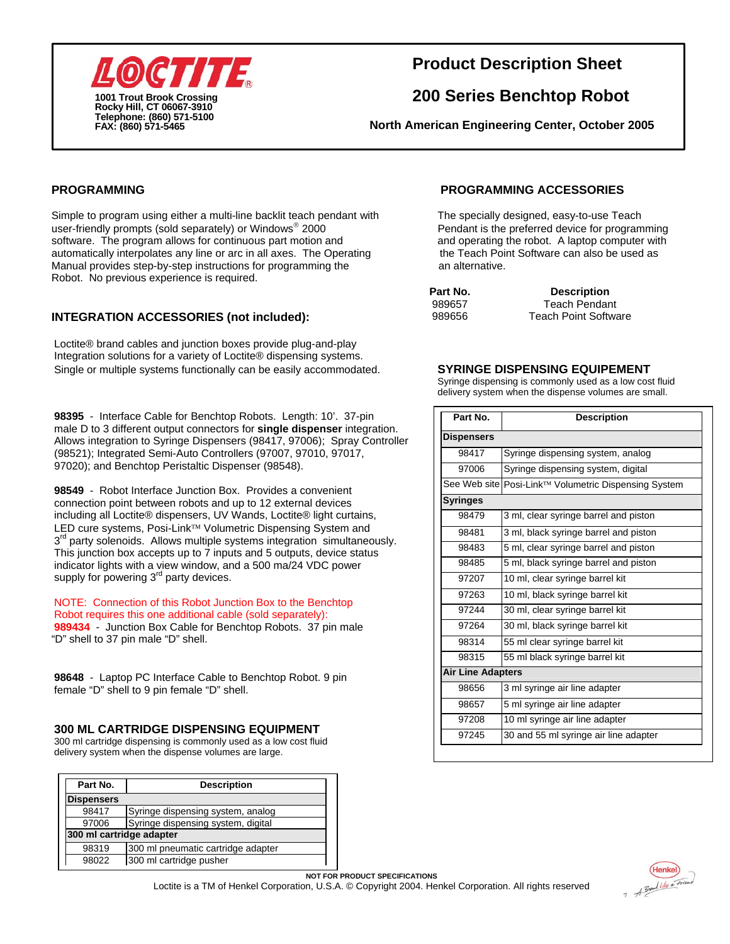

# **200 Series Benchtop Robot**

**North American Engineering Center, October 2005**

Simple to program using either a multi-line backlit teach pendant with The specially designed, easy-to-use Teach user-friendly prompts (sold separately) or Windows<sup>®</sup> 2000 Pendant is the preferred device for programming software. The program allows for continuous part motion and and and operating the robot. A laptop computer with automatically interpolates any line or arc in all axes. The Operating the Teach Point Software can also be used as Manual provides step-by-step instructions for programming the an alternative. Robot. No previous experience is required.

### **INTEGRATION ACCESSORIES (not included):**

Loctite® brand cables and junction boxes provide plug-and-play Integration solutions for a variety of Loctite® dispensing systems. Single or multiple systems functionally can be easily accommodated. **SYRINGE DISPENSING EQUIPEMENT**

**98395** - Interface Cable for Benchtop Robots. Length: 10'. 37-pin male D to 3 different output connectors for **single dispenser** integration. Allows integration to Syringe Dispensers (98417, 97006); Spray Controller (98521); Integrated Semi-Auto Controllers (97007, 97010, 97017, 97020); and Benchtop Peristaltic Dispenser (98548).

**98549** - Robot Interface Junction Box. Provides a convenient connection point between robots and up to 12 external devices including all Loctite® dispensers, UV Wands, Loctite® light curtains, LED cure systems, Posi-Link™ Volumetric Dispensing System and  $3<sup>rd</sup>$  party solenoids. Allows multiple systems integration simultaneously. This junction box accepts up to 7 inputs and 5 outputs, device status indicator lights with a view window, and a 500 ma/24 VDC power supply for powering 3<sup>rd</sup> party devices.

NOTE: Connection of this Robot Junction Box to the Benchtop Robot requires this one additional cable (sold separately): **989434** - Junction Box Cable for Benchtop Robots. 37 pin male "D" shell to 37 pin male "D" shell.

**98648** - Laptop PC Interface Cable to Benchtop Robot. 9 pin female "D" shell to 9 pin female "D" shell.

### **300 ML CARTRIDGE DISPENSING EQUIPMENT**

 300 ml cartridge dispensing is commonly used as a low cost fluid delivery system when the dispense volumes are large.

| Part No.          | <b>Description</b>                 |
|-------------------|------------------------------------|
| <b>Dispensers</b> |                                    |
| 98417             | Syringe dispensing system, analog  |
| 97006             | Syringe dispensing system, digital |
|                   | 300 ml cartridge adapter           |
| 98319             | 300 ml pneumatic cartridge adapter |
| 98022             | 300 ml cartridge pusher            |

## **PROGRAMMING PROGRAMMING ACCESSORIES**

|                                                | Part No. | <b>Description</b>          |
|------------------------------------------------|----------|-----------------------------|
|                                                | 989657   | Teach Pendant               |
| <b>INTEGRATION ACCESSORIES (not included):</b> | 989656   | <b>Teach Point Software</b> |

Syringe dispensing is commonly used as a low cost fluid delivery system when the dispense volumes are small.

| Part No.                 | <b>Description</b>                                   |
|--------------------------|------------------------------------------------------|
| <b>Dispensers</b>        |                                                      |
| 98417                    | Syringe dispensing system, analog                    |
| 97006                    | Syringe dispensing system, digital                   |
|                          | See Web site Posi-Link™ Volumetric Dispensing System |
| <b>Syringes</b>          |                                                      |
| 98479                    | 3 ml, clear syringe barrel and piston                |
| 98481                    | 3 ml, black syringe barrel and piston                |
| 98483                    | 5 ml, clear syringe barrel and piston                |
| 98485                    | 5 ml, black syringe barrel and piston                |
| 97207                    | 10 ml, clear syringe barrel kit                      |
| 97263                    | 10 ml, black syringe barrel kit                      |
| 97244                    | 30 ml, clear syringe barrel kit                      |
| 97264                    | 30 ml, black syringe barrel kit                      |
| 98314                    | 55 ml clear syringe barrel kit                       |
| 98315                    | 55 ml black syringe barrel kit                       |
| <b>Air Line Adapters</b> |                                                      |
| 98656                    | 3 ml syringe air line adapter                        |
| 98657                    | 5 ml syringe air line adapter                        |
| 97208                    | 10 ml syringe air line adapter                       |
| 97245                    | 30 and 55 ml syringe air line adapter                |

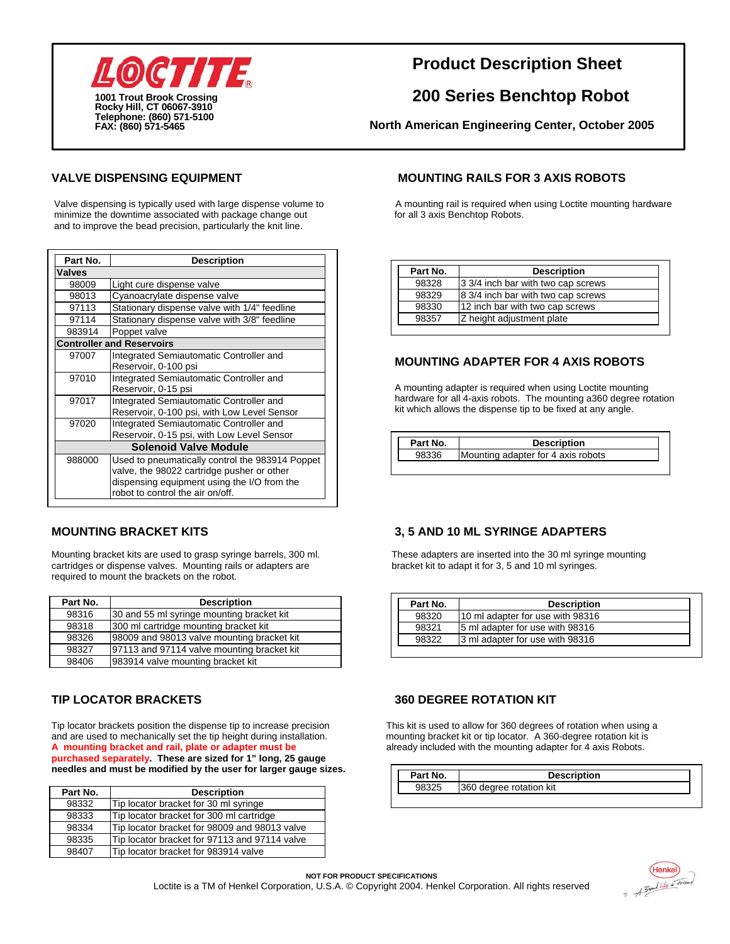

# **200 Series Benchtop Robot**

**North American Engineering Center, October 2005**

minimize the downtime associated with package change out and to improve the bead precision, particularly the knit line.

| Part No. | <b>Description</b>                                                                                                                                                               |  |  |
|----------|----------------------------------------------------------------------------------------------------------------------------------------------------------------------------------|--|--|
| Valves   |                                                                                                                                                                                  |  |  |
| 98009    | Light cure dispense valve                                                                                                                                                        |  |  |
| 98013    | Cyanoacrylate dispense valve                                                                                                                                                     |  |  |
| 97113    | Stationary dispense valve with 1/4" feedline                                                                                                                                     |  |  |
| 97114    | Stationary dispense valve with 3/8" feedline                                                                                                                                     |  |  |
| 983914   | Poppet valve                                                                                                                                                                     |  |  |
|          | <b>Controller and Reservoirs</b>                                                                                                                                                 |  |  |
| 97007    | Integrated Semiautomatic Controller and<br>Reservoir, 0-100 psi                                                                                                                  |  |  |
| 97010    | Integrated Semiautomatic Controller and<br>Reservoir, 0-15 psi                                                                                                                   |  |  |
| 97017    | Integrated Semiautomatic Controller and<br>Reservoir, 0-100 psi, with Low Level Sensor                                                                                           |  |  |
| 97020    | Integrated Semiautomatic Controller and<br>Reservoir, 0-15 psi, with Low Level Sensor                                                                                            |  |  |
|          | <b>Solenoid Valve Module</b>                                                                                                                                                     |  |  |
| 988000   | Used to pneumatically control the 983914 Poppet<br>valve, the 98022 cartridge pusher or other<br>dispensing equipment using the I/O from the<br>robot to control the air on/off. |  |  |

Mounting bracket kits are used to grasp syringe barrels, 300 ml. These adapters are inserted into the 30 ml syringe mounting cartridges or dispense valves. Mounting rails or adapters are **bracket kit to adapt it for 3**, 5 and 10 ml syringes. required to mount the brackets on the robot.

| Part No. | <b>Description</b>                         |
|----------|--------------------------------------------|
| 98316    | 30 and 55 ml syringe mounting bracket kit  |
| 98318    | 300 ml cartridge mounting bracket kit      |
| 98326    | 98009 and 98013 valve mounting bracket kit |
| 98327    | 97113 and 97114 valve mounting bracket kit |
| 98406    | 983914 valve mounting bracket kit          |

Tip locator brackets position the dispense tip to increase precision<br>and are used to mechanically set the tip height during installation. This kit is used to allow for 360 degrees of rotation when using a<br>mounting bracket and are used to mechanically set the tip height during installation. A mounting bracket and rail, plate or adapter must be **all and a set of a set of a set of a** already included with the mounting adapter for 4 axis Robots. **purchased separately. These are sized for 1" long, 25 gauge needles and must be modified by the user for larger gauge sizes.** 

| Part No. | <b>Description</b>                            |
|----------|-----------------------------------------------|
| 98332    | Tip locator bracket for 30 ml syringe         |
| 98333    | Tip locator bracket for 300 ml cartridge      |
| 98334    | Tip locator bracket for 98009 and 98013 valve |
| 98335    | Tip locator bracket for 97113 and 97114 valve |
| 98407    | Tip locator bracket for 983914 valve          |

## **VALVE DISPENSING EQUIPMENT MOUNTING RAILS FOR 3 AXIS ROBOTS**

Valve dispensing is typically used with large dispense volume to A mounting rail is required when using Loctite mounting hardware<br>
minimize the downtime associated with package change out for all 3 axis Benchtop Robots.

| Part No. | <b>Description</b>                 |
|----------|------------------------------------|
| 98328    | 3 3/4 inch bar with two cap screws |
| 98329    | 8 3/4 inch bar with two cap screws |
| 98330    | 12 inch bar with two cap screws    |
| 98357    | Z height adjustment plate          |

## **MOUNTING ADAPTER FOR 4 AXIS ROBOTS**

 A mounting adapter is required when using Loctite mounting hardware for all 4-axis robots. The mounting a360 degree rotation kit which allows the dispense tip to be fixed at any angle.

| Part No. | <b>Description</b>                 |  |
|----------|------------------------------------|--|
|          | Mounting adapter for 4 axis robots |  |

## **MOUNTING BRACKET KITS 3, 5 AND 10 ML SYRINGE ADAPTERS**

| Part No. | <b>Description</b>               |  |
|----------|----------------------------------|--|
| 98320    | 10 ml adapter for use with 98316 |  |
| 98321    | 5 ml adapter for use with 98316  |  |
| 98322    | 3 ml adapter for use with 98316  |  |

## **TIP LOCATOR BRACKETS 360 DEGREE ROTATION KIT**

| Part No. | <b>Description</b>      |
|----------|-------------------------|
| ດ໑າລະ    | 360 degree rotation kit |